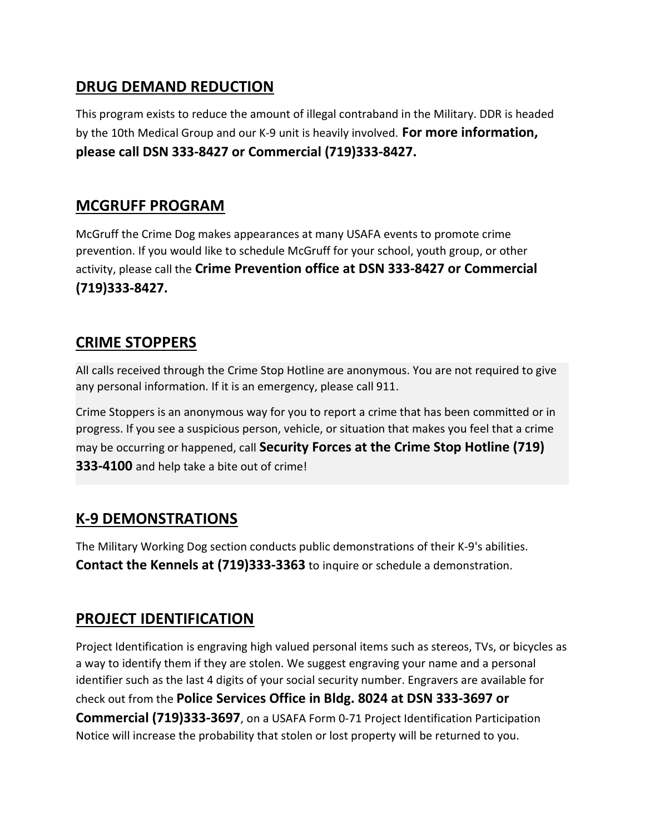#### DRUG DEMAND REDUCTION

This program exists to reduce the amount of illegal contraband in the Military. DDR is headed by the 10th Medical Group and our K-9 unit is heavily involved. For more information, please call DSN 333-8427 or Commercial (719)333-8427.

#### MCGRUFF PROGRAM

McGruff the Crime Dog makes appearances at many USAFA events to promote crime prevention. If you would like to schedule McGruff for your school, youth group, or other activity, please call the Crime Prevention office at DSN 333-8427 or Commercial (719)333-8427.

# CRIME STOPPERS

All calls received through the Crime Stop Hotline are anonymous. You are not required to give any personal information. If it is an emergency, please call 911.

Crime Stoppers is an anonymous way for you to report a crime that has been committed or in progress. If you see a suspicious person, vehicle, or situation that makes you feel that a crime may be occurring or happened, call Security Forces at the Crime Stop Hotline (719) 333-4100 and help take a bite out of crime!

### K-9 DEMONSTRATIONS

The Military Working Dog section conducts public demonstrations of their K-9's abilities. Contact the Kennels at (719)333-3363 to inquire or schedule a demonstration.

### PROJECT IDENTIFICATION

Project Identification is engraving high valued personal items such as stereos, TVs, or bicycles as a way to identify them if they are stolen. We suggest engraving your name and a personal identifier such as the last 4 digits of your social security number. Engravers are available for check out from the Police Services Office in Bldg. 8024 at DSN 333-3697 or Commercial (719)333-3697, on a USAFA Form 0-71 Project Identification Participation Notice will increase the probability that stolen or lost property will be returned to you.